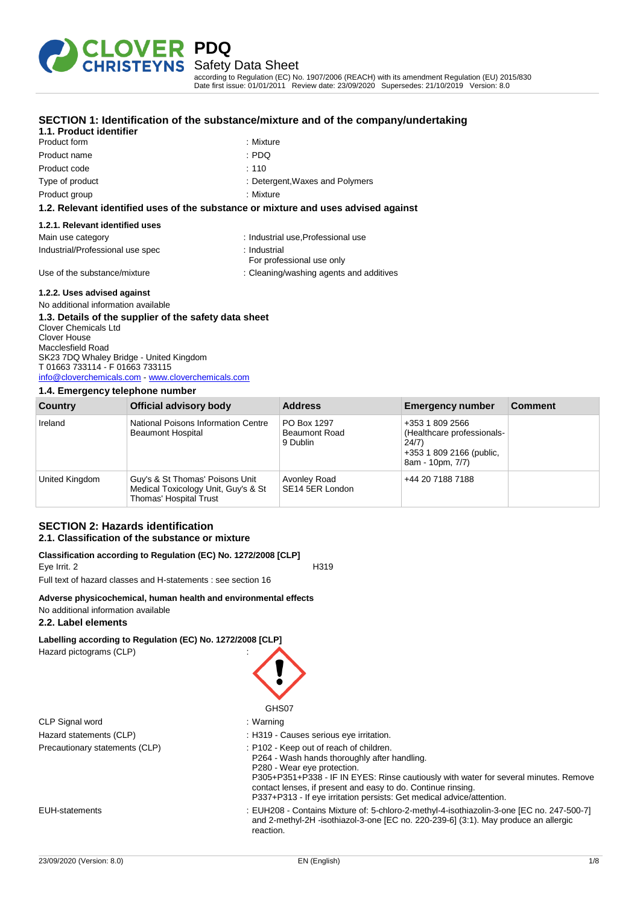

according to Regulation (EC) No. 1907/2006 (REACH) with its amendment Regulation (EU) 2015/830 Date first issue: 01/01/2011 Review date: 23/09/2020 Supersedes: 21/10/2019 Version: 8.0

| 1.1. Product identifier                                                                              | SECTION 1: Identification of the substance/mixture and of the company/undertaking  |
|------------------------------------------------------------------------------------------------------|------------------------------------------------------------------------------------|
| Product form                                                                                         | : Mixture                                                                          |
| Product name                                                                                         | : PDQ                                                                              |
| Product code                                                                                         | :110                                                                               |
| Type of product                                                                                      | : Detergent, Waxes and Polymers                                                    |
| Product group                                                                                        | : Mixture                                                                          |
|                                                                                                      | 1.2. Relevant identified uses of the substance or mixture and uses advised against |
| 1.2.1. Relevant identified uses                                                                      |                                                                                    |
| Main use category                                                                                    | : Industrial use, Professional use                                                 |
| Industrial/Professional use spec                                                                     | : Industrial<br>For professional use only                                          |
| Use of the substance/mixture                                                                         | : Cleaning/washing agents and additives                                            |
| 1.2.2. Uses advised against                                                                          |                                                                                    |
| No additional information available                                                                  |                                                                                    |
| 1.3. Details of the supplier of the safety data sheet<br><b>Clover Chemicals Ltd</b><br>Clover House |                                                                                    |

Jover Hou Macclesfield Road SK23 7DQ Whaley Bridge - United Kingdom T 01663 733114 - F 01663 733115 [info@cloverchemicals.com](mailto:info@cloverchemicals.com) - <www.cloverchemicals.com>

### **1.4. Emergency telephone number**

| Country        | Official advisory body                                                                           | <b>Address</b>                                  | <b>Emergency number</b>                                                                                | <b>Comment</b> |
|----------------|--------------------------------------------------------------------------------------------------|-------------------------------------------------|--------------------------------------------------------------------------------------------------------|----------------|
| Ireland        | National Poisons Information Centre<br><b>Beaumont Hospital</b>                                  | PO Box 1297<br><b>Beaumont Road</b><br>9 Dublin | +353 1 809 2566<br>(Healthcare professionals-<br>24/7)<br>+353 1 809 2166 (public,<br>8am - 10pm, 7/7) |                |
| United Kingdom | Guy's & St Thomas' Poisons Unit<br>Medical Toxicology Unit, Guy's & St<br>Thomas' Hospital Trust | Avonley Road<br>SE14 5ER London                 | +44 20 7188 7188                                                                                       |                |

### **SECTION 2: Hazards identification 2.1. Classification of the substance or mixture**

#### **Classification according to Regulation (EC) No. 1272/2008 [CLP]** Eye Irrit. 2 H319

Full text of hazard classes and H-statements : see section 16

### **Adverse physicochemical, human health and environmental effects**

No additional information available

### **2.2. Label elements**

### **Labelling according to Regulation (EC) No. 1272/2008 [CLP]** Hazard pictograms (CLP) :

|                                | GHS07                                                                                                                                                                                                                                                                                                                                                   |
|--------------------------------|---------------------------------------------------------------------------------------------------------------------------------------------------------------------------------------------------------------------------------------------------------------------------------------------------------------------------------------------------------|
| CLP Signal word                | : Warning                                                                                                                                                                                                                                                                                                                                               |
| Hazard statements (CLP)        | : H319 - Causes serious eye irritation.                                                                                                                                                                                                                                                                                                                 |
| Precautionary statements (CLP) | : P102 - Keep out of reach of children.<br>P264 - Wash hands thoroughly after handling.<br>P280 - Wear eye protection.<br>P305+P351+P338 - IF IN EYES: Rinse cautiously with water for several minutes. Remove<br>contact lenses, if present and easy to do. Continue rinsing.<br>P337+P313 - If eye irritation persists: Get medical advice/attention. |
| EUH-statements                 | : EUH208 - Contains Mixture of: 5-chloro-2-methyl-4-isothiazolin-3-one [EC no. 247-500-7]<br>and 2-methyl-2H -isothiazol-3-one [EC no. 220-239-6] (3:1). May produce an allergic<br>reaction.                                                                                                                                                           |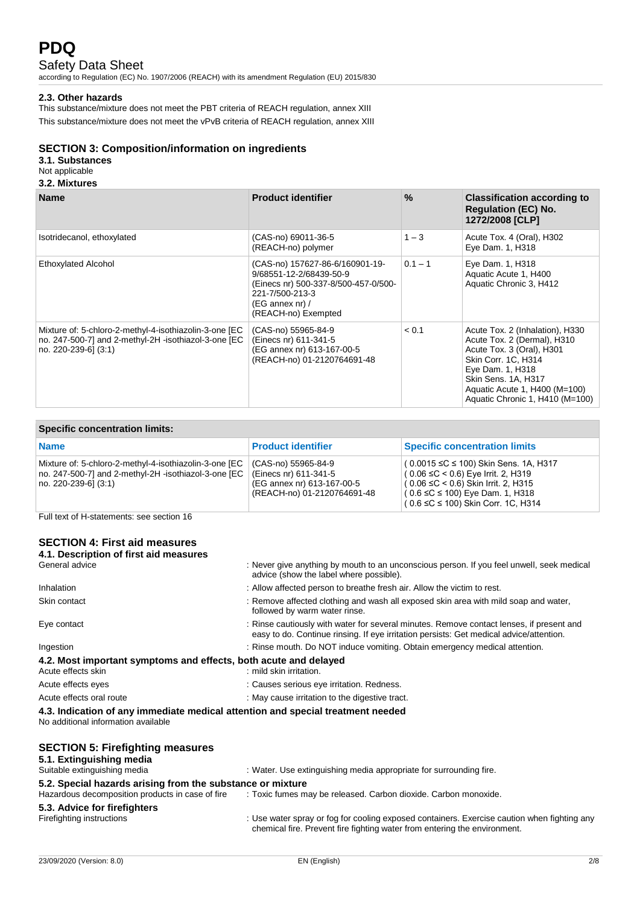### Safety Data Sheet

according to Regulation (EC) No. 1907/2006 (REACH) with its amendment Regulation (EU) 2015/830

### **2.3. Other hazards**

This substance/mixture does not meet the PBT criteria of REACH regulation, annex XIII This substance/mixture does not meet the vPvB criteria of REACH regulation, annex XIII

### **SECTION 3: Composition/information on ingredients**

### **3.1. Substances**

### Not applicable

#### **3.2. Mixtures**

| <b>Name</b>                                                                                                                            | <b>Product identifier</b>                                                                                                                                                | $\%$      | <b>Classification according to</b><br><b>Regulation (EC) No.</b><br>1272/2008 [CLP]                                                                                                                                               |
|----------------------------------------------------------------------------------------------------------------------------------------|--------------------------------------------------------------------------------------------------------------------------------------------------------------------------|-----------|-----------------------------------------------------------------------------------------------------------------------------------------------------------------------------------------------------------------------------------|
| Isotridecanol, ethoxylated                                                                                                             | (CAS-no) 69011-36-5<br>(REACH-no) polymer                                                                                                                                | $1 - 3$   | Acute Tox. 4 (Oral), H302<br>Eye Dam. 1, H318                                                                                                                                                                                     |
| <b>Ethoxylated Alcohol</b>                                                                                                             | (CAS-no) 157627-86-6/160901-19-<br>9/68551-12-2/68439-50-9<br>(Einecs nr) 500-337-8/500-457-0/500-<br>221-7/500-213-3<br>$(EG \n  annex \n  nr)/$<br>(REACH-no) Exempted | $0.1 - 1$ | Eye Dam. 1, H318<br>Aquatic Acute 1, H400<br>Aquatic Chronic 3, H412                                                                                                                                                              |
| Mixture of: 5-chloro-2-methyl-4-isothiazolin-3-one [EC<br>no. 247-500-7] and 2-methyl-2H -isothiazol-3-one [EC<br>no. 220-239-6] (3:1) | (CAS-no) 55965-84-9<br>(Einecs nr) 611-341-5<br>(EG annex nr) 613-167-00-5<br>(REACH-no) 01-2120764691-48                                                                | < 0.1     | Acute Tox. 2 (Inhalation), H330<br>Acute Tox. 2 (Dermal), H310<br>Acute Tox. 3 (Oral), H301<br>Skin Corr. 1C, H314<br>Eye Dam. 1, H318<br>Skin Sens. 1A, H317<br>Aquatic Acute 1, H400 (M=100)<br>Aquatic Chronic 1, H410 (M=100) |

### **Specific concentration limits:**

| <b>Name</b>                                                                                                                              | <b>Product identifier</b>                                                                                 | <b>Specific concentration limits</b>                                                                                                                                                                          |
|------------------------------------------------------------------------------------------------------------------------------------------|-----------------------------------------------------------------------------------------------------------|---------------------------------------------------------------------------------------------------------------------------------------------------------------------------------------------------------------|
| Mixture of: 5-chloro-2-methyl-4-isothiazolin-3-one [EC<br>no. 247-500-7] and 2-methyl-2H -isothiazol-3-one [EC<br>  no. 220-239-6] (3:1) | (CAS-no) 55965-84-9<br>(Einecs nr) 611-341-5<br>(EG annex nr) 613-167-00-5<br>(REACH-no) 01-2120764691-48 | (0.0015 ≤C ≤ 100) Skin Sens. 1A, H317<br>$(0.06 ≤ C < 0.6)$ Eye Irrit. 2, H319<br>$(0.06 ≤ C < 0.6)$ Skin Irrit. 2, H315<br>$(0.6 ≤ C ≤ 100)$ Eye Dam. 1, H318<br>$(0.6 \leq C \leq 100)$ Skin Corr. 1C, H314 |

Full text of H-statements: see section 16

### **SECTION 4: First aid measures 4.1. Description of first aid measures**

| General advice                                                                                                         | : Never give anything by mouth to an unconscious person. If you feel unwell, seek medical<br>advice (show the label where possible).                                                |
|------------------------------------------------------------------------------------------------------------------------|-------------------------------------------------------------------------------------------------------------------------------------------------------------------------------------|
| Inhalation                                                                                                             | : Allow affected person to breathe fresh air. Allow the victim to rest.                                                                                                             |
| Skin contact                                                                                                           | : Remove affected clothing and wash all exposed skin area with mild soap and water,<br>followed by warm water rinse.                                                                |
| Eye contact                                                                                                            | : Rinse cautiously with water for several minutes. Remove contact lenses, if present and<br>easy to do. Continue rinsing. If eye irritation persists: Get medical advice/attention. |
| Ingestion                                                                                                              | : Rinse mouth. Do NOT induce vomiting. Obtain emergency medical attention.                                                                                                          |
| 4.2. Most important symptoms and effects, both acute and delayed<br>Acute effects skin                                 | : mild skin irritation.                                                                                                                                                             |
| Acute effects eyes                                                                                                     | : Causes serious eye irritation. Redness.                                                                                                                                           |
| Acute effects oral route                                                                                               | : May cause irritation to the digestive tract.                                                                                                                                      |
| 4.3. Indication of any immediate medical attention and special treatment needed<br>No additional information available |                                                                                                                                                                                     |
| <b>SECTION 5: Firefighting measures</b><br>5.1. Extinguishing media<br>Suitable extinguishing media                    | : Water. Use extinguishing media appropriate for surrounding fire.                                                                                                                  |
| 5.2. Special hazards arising from the substance or mixture                                                             |                                                                                                                                                                                     |
| Hazardous decomposition products in case of fire                                                                       | : Toxic fumes may be released. Carbon dioxide. Carbon monoxide.                                                                                                                     |

# **5.3. Advice for firefighters**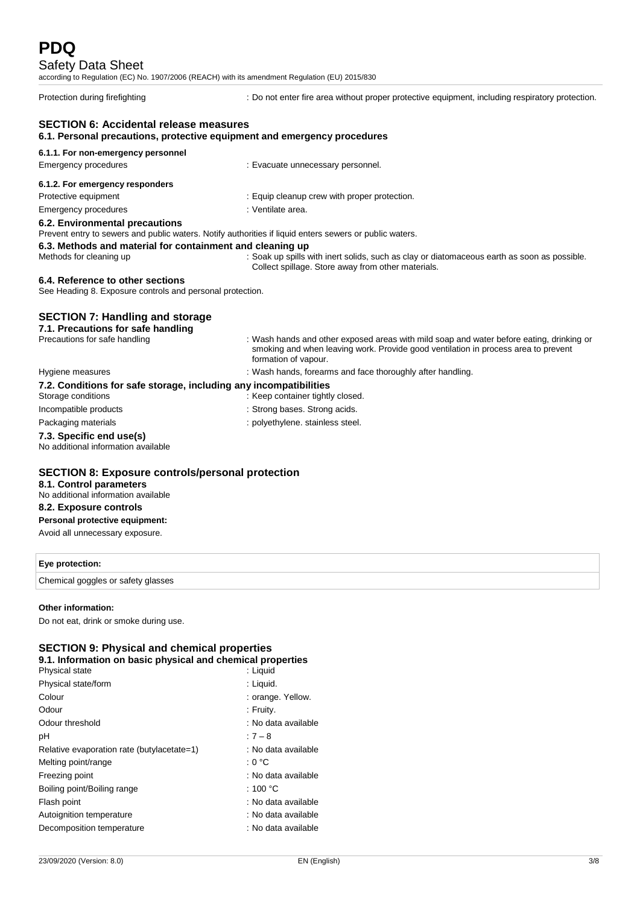### Safety Data Sheet

according to Regulation (EC) No. 1907/2006 (REACH) with its amendment Regulation (EU) 2015/830

Protection during firefighting : Do not enter fire area without proper protective equipment, including respiratory protection.

# **SECTION 6: Accidental release measures**

### **6.1. Personal precautions, protective equipment and emergency procedures**

#### **6.1.1. For non-emergency personnel** Emergency procedures **Example 2018**: Evacuate unnecessary personnel.

| 6.1.2. For emergency responders |                                              |
|---------------------------------|----------------------------------------------|
| Protective equipment            | : Equip cleanup crew with proper protection. |
| Emergency procedures            | : Ventilate area.                            |
| המאוויות המסמינות המשפט המשפט ה |                                              |

#### **6.2. Environmental precautions**

Prevent entry to sewers and public waters. Notify authorities if liquid enters sewers or public waters.

# **6.3. Methods and material for containment and cleaning up**

: Soak up spills with inert solids, such as clay or diatomaceous earth as soon as possible. Collect spillage. Store away from other materials.

### **6.4. Reference to other sections**

See Heading 8. Exposure controls and personal protection.

### **SECTION 7: Handling and storage**

#### **7.1. Precautions for safe handling** Precautions for safe handling : Wash hands and other exposed areas with mild soap and water before eating, drinking or

|                                                                                         | smoking and when leaving work. Provide good ventilation in process area to prevent<br>formation of vapour. |
|-----------------------------------------------------------------------------------------|------------------------------------------------------------------------------------------------------------|
| Hygiene measures                                                                        | : Wash hands, forearms and face thoroughly after handling.                                                 |
| 7.2. Conditions for safe storage, including any incompatibilities<br>Storage conditions | : Keep container tightly closed.                                                                           |
| Incompatible products                                                                   | : Strong bases. Strong acids.                                                                              |
| Packaging materials                                                                     | : polyethylene. stainless steel.                                                                           |
| 7.3. Specific end use(s)<br>No additional information available                         |                                                                                                            |

### **SECTION 8: Exposure controls/personal protection**

### **8.1. Control parameters**

No additional information available

### **8.2. Exposure controls**

**Personal protective equipment:**

Avoid all unnecessary exposure.

# **Eye protection:**

Chemical goggles or safety glasses

### **Other information:**

Do not eat, drink or smoke during use.

### **SECTION 9: Physical and chemical properties**

|  | 9.1. Information on basic physical and chemical properties |  |  |  |  |
|--|------------------------------------------------------------|--|--|--|--|
|--|------------------------------------------------------------|--|--|--|--|

| Physical state                             | : Liguid            |
|--------------------------------------------|---------------------|
| Physical state/form                        | : Liquid.           |
| Colour                                     | : orange. Yellow.   |
| Odour                                      | : Fruity.           |
| Odour threshold                            | : No data available |
| рH                                         | $:7 - 8$            |
| Relative evaporation rate (butylacetate=1) | : No data available |
| Melting point/range                        | : 0 °C              |
| Freezing point                             | : No data available |
| Boiling point/Boiling range                | : 100 $^{\circ}$ C  |
| Flash point                                | : No data available |
| Autoignition temperature                   | : No data available |
| Decomposition temperature                  | : No data available |
|                                            |                     |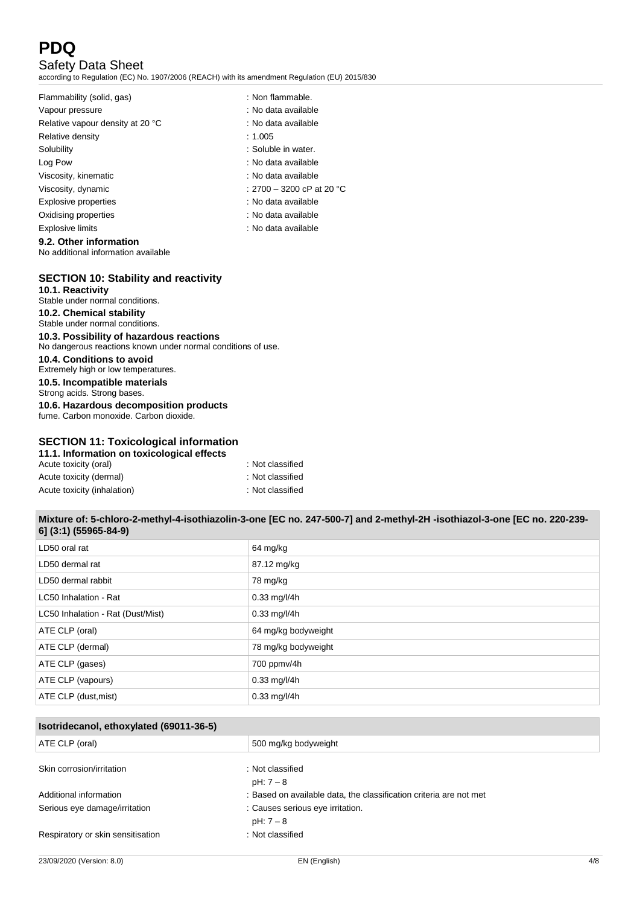### Safety Data Sheet

according to Regulation (EC) No. 1907/2006 (REACH) with its amendment Regulation (EU) 2015/830

| Flammability (solid, gas)        | : Non flammable.          |
|----------------------------------|---------------------------|
| Vapour pressure                  | : No data available       |
| Relative vapour density at 20 °C | : No data available       |
| Relative density                 | : 1.005                   |
| Solubility                       | : Soluble in water.       |
| Log Pow                          | : No data available       |
| Viscosity, kinematic             | : No data available       |
| Viscosity, dynamic               | : 2700 – 3200 cP at 20 °C |
| Explosive properties             | : No data available       |
| Oxidising properties             | : No data available       |
| <b>Explosive limits</b>          | : No data available       |
| 9.2. Other information           |                           |

No additional information available

# **SECTION 10: Stability and reactivity**

**10.1. Reactivity** Stable under normal conditions. **10.2. Chemical stability** Stable under normal conditions. **10.3. Possibility of hazardous reactions** No dangerous reactions known under normal conditions of use. **10.4. Conditions to avoid** Extremely high or low temperatures. **10.5. Incompatible materials** Strong acids. Strong bases.

**10.6. Hazardous decomposition products** fume. Carbon monoxide. Carbon dioxide.

### **SECTION 11: Toxicological information**

| 11.1. Information on toxicological effects |                  |
|--------------------------------------------|------------------|
| Acute toxicity (oral)                      | : Not classified |
| Acute toxicity (dermal)                    | : Not classified |
| Acute toxicity (inhalation)                | : Not classified |

### **Mixture of: 5-chloro-2-methyl-4-isothiazolin-3-one [EC no. 247-500-7] and 2-methyl-2H -isothiazol-3-one [EC no. 220-239- 6] (3:1) (55965-84-9)**

| LD50 oral rat                     | 64 mg/kg            |
|-----------------------------------|---------------------|
| LD50 dermal rat                   | 87.12 mg/kg         |
| LD50 dermal rabbit                | 78 mg/kg            |
| LC50 Inhalation - Rat             | $0.33$ mg/l/4h      |
| LC50 Inhalation - Rat (Dust/Mist) | $0.33$ mg/l/4h      |
| ATE CLP (oral)                    | 64 mg/kg bodyweight |
| ATE CLP (dermal)                  | 78 mg/kg bodyweight |
| ATE CLP (gases)                   | 700 ppmv/4h         |
| ATE CLP (vapours)                 | $0.33$ mg/l/4h      |
| ATE CLP (dust, mist)              | $0.33$ mg/l/4h      |

| Isotridecanol, ethoxylated (69011-36-5) |                                                                    |
|-----------------------------------------|--------------------------------------------------------------------|
| ATE CLP (oral)                          | 500 mg/kg bodyweight                                               |
| Skin corrosion/irritation               | : Not classified<br>$pH: 7-8$                                      |
| Additional information                  | : Based on available data, the classification criteria are not met |
| Serious eye damage/irritation           | : Causes serious eye irritation.<br>$pH: 7-8$                      |
| Respiratory or skin sensitisation       | : Not classified                                                   |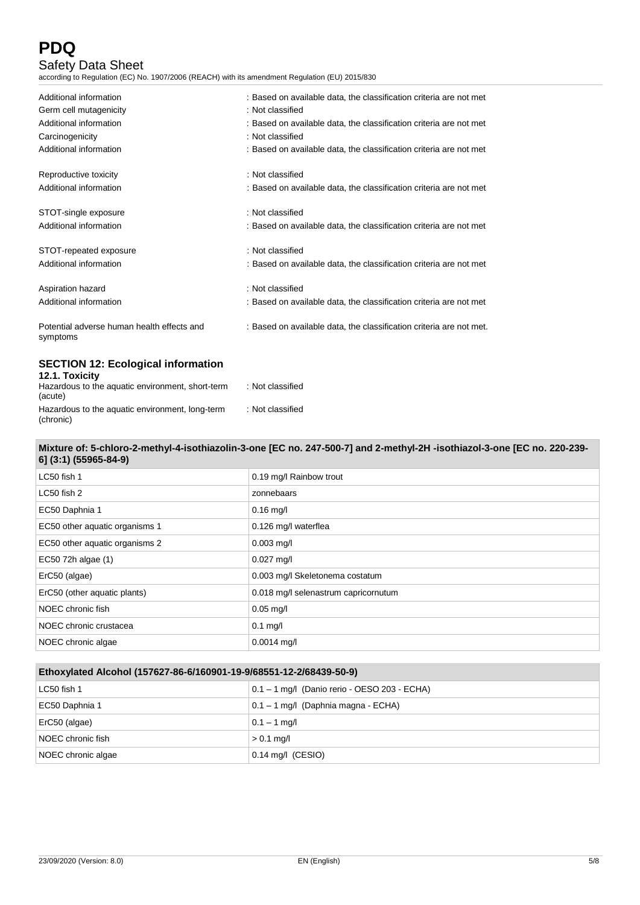(chronic)

# Safety Data Sheet

according to Regulation (EC) No. 1907/2006 (REACH) with its amendment Regulation (EU) 2015/830

| Additional information                                      | : Based on available data, the classification criteria are not met  |
|-------------------------------------------------------------|---------------------------------------------------------------------|
| Germ cell mutagenicity                                      | : Not classified                                                    |
| Additional information                                      | : Based on available data, the classification criteria are not met  |
| Carcinogenicity                                             | : Not classified                                                    |
| Additional information                                      | : Based on available data, the classification criteria are not met  |
| Reproductive toxicity                                       | : Not classified                                                    |
| Additional information                                      | : Based on available data, the classification criteria are not met  |
| STOT-single exposure                                        | : Not classified                                                    |
| Additional information                                      | : Based on available data, the classification criteria are not met  |
| STOT-repeated exposure                                      | : Not classified                                                    |
| Additional information                                      | : Based on available data, the classification criteria are not met  |
| Aspiration hazard                                           | : Not classified                                                    |
| Additional information                                      | : Based on available data, the classification criteria are not met  |
| Potential adverse human health effects and<br>symptoms      | : Based on available data, the classification criteria are not met. |
| <b>SECTION 12: Ecological information</b><br>12.1. Toxicity |                                                                     |
| Hazardous to the aquatic environment, short-term<br>(acute) | : Not classified                                                    |
| Hazardous to the aquatic environment, long-term             | : Not classified                                                    |

### **Mixture of: 5-chloro-2-methyl-4-isothiazolin-3-one [EC no. 247-500-7] and 2-methyl-2H -isothiazol-3-one [EC no. 220-239- 6] (3:1) (55965-84-9)**

| LC50 fish 1                    | 0.19 mg/l Rainbow trout              |
|--------------------------------|--------------------------------------|
| LC50 fish 2                    | zonnebaars                           |
| EC50 Daphnia 1                 | $0.16$ mg/l                          |
| EC50 other aquatic organisms 1 | 0.126 mg/l waterflea                 |
| EC50 other aquatic organisms 2 | $0.003$ mg/l                         |
| EC50 72h algae (1)             | $0.027$ mg/l                         |
| ErC50 (algae)                  | 0.003 mg/l Skeletonema costatum      |
| ErC50 (other aquatic plants)   | 0.018 mg/l selenastrum capricornutum |
| NOEC chronic fish              | $0.05$ mg/l                          |
| NOEC chronic crustacea         | $0.1$ mg/l                           |
| NOEC chronic algae             | $0.0014$ mg/l                        |

| Ethoxylated Alcohol (157627-86-6/160901-19-9/68551-12-2/68439-50-9) |                                                |
|---------------------------------------------------------------------|------------------------------------------------|
| LC50 fish 1                                                         | $0.1 - 1$ mg/l (Danio rerio - OESO 203 - ECHA) |
| EC50 Daphnia 1                                                      | 0.1 – 1 mg/l (Daphnia magna - ECHA)            |
| ErC50 (algae)                                                       | $0.1 - 1$ mg/l                                 |
| NOEC chronic fish                                                   | $> 0.1$ mg/l                                   |
| NOEC chronic algae                                                  | $0.14$ mg/l (CESIO)                            |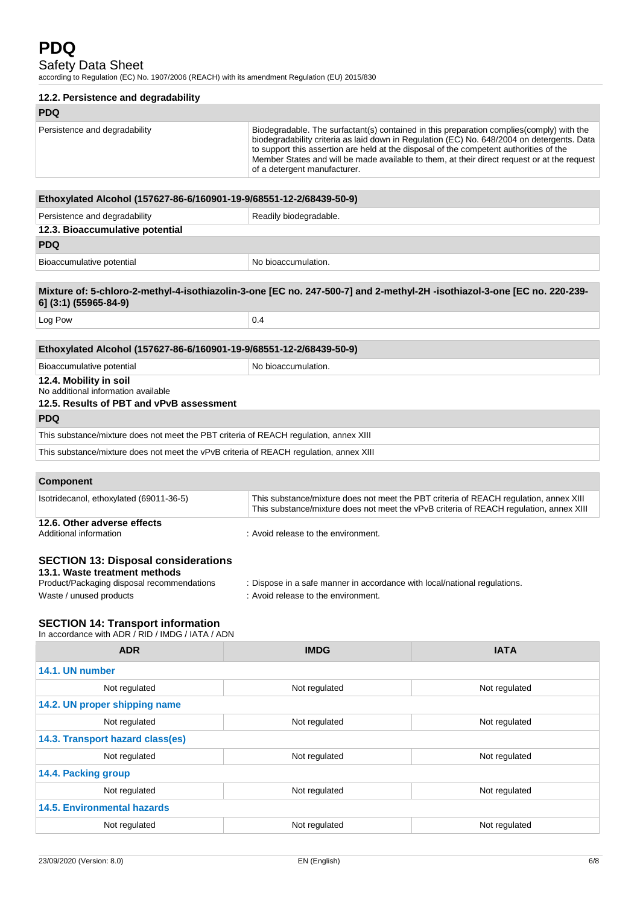### Safety Data Sheet

according to Regulation (EC) No. 1907/2006 (REACH) with its amendment Regulation (EU) 2015/830

| 12.2. Persistence and degradability                                                                                                                  |                                                                                                                        |                                                                                                                                                                                                                                                                                       |
|------------------------------------------------------------------------------------------------------------------------------------------------------|------------------------------------------------------------------------------------------------------------------------|---------------------------------------------------------------------------------------------------------------------------------------------------------------------------------------------------------------------------------------------------------------------------------------|
| <b>PDQ</b>                                                                                                                                           |                                                                                                                        |                                                                                                                                                                                                                                                                                       |
| Persistence and degradability                                                                                                                        | to support this assertion are held at the disposal of the competent authorities of the<br>of a detergent manufacturer. | Biodegradable. The surfactant(s) contained in this preparation complies(comply) with the<br>biodegradability criteria as laid down in Regulation (EC) No. 648/2004 on detergents. Data<br>Member States and will be made available to them, at their direct request or at the request |
|                                                                                                                                                      |                                                                                                                        |                                                                                                                                                                                                                                                                                       |
| Ethoxylated Alcohol (157627-86-6/160901-19-9/68551-12-2/68439-50-9)                                                                                  |                                                                                                                        |                                                                                                                                                                                                                                                                                       |
| Persistence and degradability                                                                                                                        | Readily biodegradable.                                                                                                 |                                                                                                                                                                                                                                                                                       |
| 12.3. Bioaccumulative potential<br><b>PDQ</b>                                                                                                        |                                                                                                                        |                                                                                                                                                                                                                                                                                       |
|                                                                                                                                                      |                                                                                                                        |                                                                                                                                                                                                                                                                                       |
| Bioaccumulative potential                                                                                                                            | No bioaccumulation.                                                                                                    |                                                                                                                                                                                                                                                                                       |
| Mixture of: 5-chloro-2-methyl-4-isothiazolin-3-one [EC no. 247-500-7] and 2-methyl-2H -isothiazol-3-one [EC no. 220-239-<br>6] (3:1) (55965-84-9)    |                                                                                                                        |                                                                                                                                                                                                                                                                                       |
| Log Pow                                                                                                                                              | 0.4                                                                                                                    |                                                                                                                                                                                                                                                                                       |
|                                                                                                                                                      |                                                                                                                        |                                                                                                                                                                                                                                                                                       |
| Ethoxylated Alcohol (157627-86-6/160901-19-9/68551-12-2/68439-50-9)                                                                                  |                                                                                                                        |                                                                                                                                                                                                                                                                                       |
| Bioaccumulative potential                                                                                                                            | No bioaccumulation.                                                                                                    |                                                                                                                                                                                                                                                                                       |
| 12.4. Mobility in soil<br>No additional information available<br>12.5. Results of PBT and vPvB assessment                                            |                                                                                                                        |                                                                                                                                                                                                                                                                                       |
| <b>PDQ</b>                                                                                                                                           |                                                                                                                        |                                                                                                                                                                                                                                                                                       |
| This substance/mixture does not meet the PBT criteria of REACH regulation, annex XIII                                                                |                                                                                                                        |                                                                                                                                                                                                                                                                                       |
| This substance/mixture does not meet the vPvB criteria of REACH regulation, annex XIII                                                               |                                                                                                                        |                                                                                                                                                                                                                                                                                       |
|                                                                                                                                                      |                                                                                                                        |                                                                                                                                                                                                                                                                                       |
| <b>Component</b>                                                                                                                                     |                                                                                                                        |                                                                                                                                                                                                                                                                                       |
| Isotridecanol, ethoxylated (69011-36-5)                                                                                                              |                                                                                                                        | This substance/mixture does not meet the PBT criteria of REACH regulation, annex XIII<br>This substance/mixture does not meet the vPvB criteria of REACH regulation, annex XIII                                                                                                       |
| 12.6. Other adverse effects<br>Additional information                                                                                                | : Avoid release to the environment.                                                                                    |                                                                                                                                                                                                                                                                                       |
|                                                                                                                                                      |                                                                                                                        |                                                                                                                                                                                                                                                                                       |
| <b>SECTION 13: Disposal considerations</b><br>13.1. Waste treatment methods<br>Product/Packaging disposal recommendations<br>Waste / unused products | : Dispose in a safe manner in accordance with local/national regulations.<br>: Avoid release to the environment.       |                                                                                                                                                                                                                                                                                       |
| <b>SECTION 14: Transport information</b><br>In accordance with ADR / RID / IMDG / IATA / ADN                                                         |                                                                                                                        |                                                                                                                                                                                                                                                                                       |
| <b>ADR</b>                                                                                                                                           | <b>IMDG</b>                                                                                                            | <b>IATA</b>                                                                                                                                                                                                                                                                           |
| 14.1. UN number                                                                                                                                      |                                                                                                                        |                                                                                                                                                                                                                                                                                       |
| Not regulated                                                                                                                                        | Not regulated                                                                                                          | Not regulated                                                                                                                                                                                                                                                                         |
| 14.2. UN proper shipping name                                                                                                                        |                                                                                                                        |                                                                                                                                                                                                                                                                                       |
| Not regulated                                                                                                                                        | Not regulated                                                                                                          | Not regulated                                                                                                                                                                                                                                                                         |
| 14.3. Transport hazard class(es)                                                                                                                     |                                                                                                                        |                                                                                                                                                                                                                                                                                       |

**14.5. Environmental hazards**

**14.4. Packing group**

Not regulated Not regulated Not regulated Not regulated Not regulated

Not regulated Not regulated Not regulated Not regulated Not regulated

Not regulated Not regulated Not regulated Not regulated Not regulated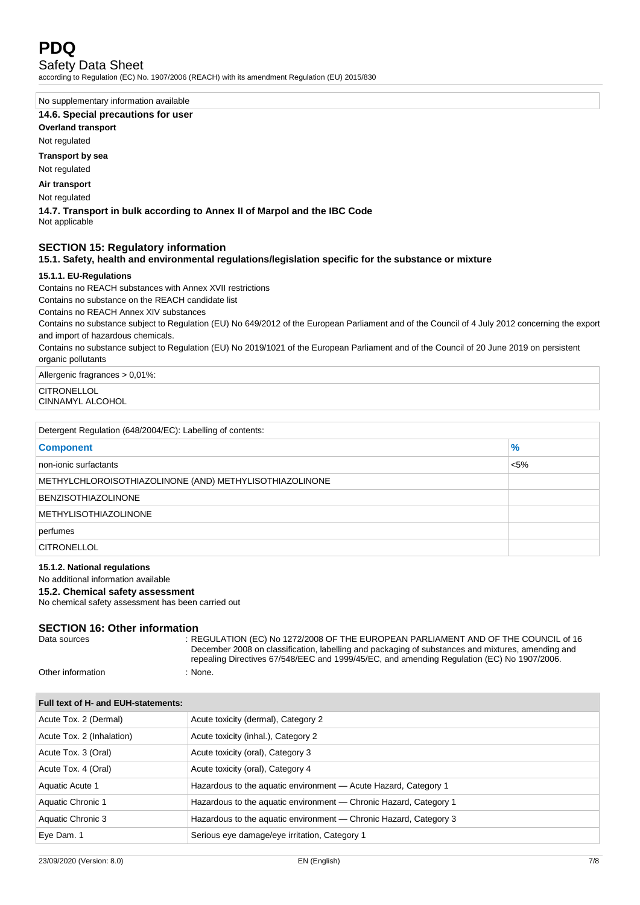

### Safety Data Sheet

according to Regulation (EC) No. 1907/2006 (REACH) with its amendment Regulation (EU) 2015/830

No supplementary information available

#### **14.6. Special precautions for user**

**Overland transport**

Not regulated

**Transport by sea**

Not regulated

**Air transport**

Not regulated

**14.7. Transport in bulk according to Annex II of Marpol and the IBC Code** Not applicable

### **SECTION 15: Regulatory information**

### **15.1. Safety, health and environmental regulations/legislation specific for the substance or mixture**

#### **15.1.1. EU-Regulations**

Contains no REACH substances with Annex XVII restrictions

Contains no substance on the REACH candidate list

Contains no REACH Annex XIV substances

Contains no substance subject to Regulation (EU) No 649/2012 of the European Parliament and of the Council of 4 July 2012 concerning the export and import of hazardous chemicals.

Contains no substance subject to Regulation (EU) No 2019/1021 of the European Parliament and of the Council of 20 June 2019 on persistent organic pollutants

Allergenic fragrances > 0,01%:

CITRONELLOL

CINNAMYL ALCOHOL

| Detergent Regulation (648/2004/EC): Labelling of contents: |               |
|------------------------------------------------------------|---------------|
| <b>Component</b>                                           | $\frac{9}{6}$ |
| non-ionic surfactants                                      | $< 5\%$       |
| METHYLCHLOROISOTHIAZOLINONE (AND) METHYLISOTHIAZOLINONE    |               |
| <b>BENZISOTHIAZOLINONE</b>                                 |               |
| <b>METHYLISOTHIAZOLINONE</b>                               |               |
| perfumes                                                   |               |
| <b>CITRONELLOL</b>                                         |               |

#### **15.1.2. National regulations**

### No additional information available

### **15.2. Chemical safety assessment**

No chemical safety assessment has been carried out

# **SECTION 16: Other information**<br>Ri

REGULATION (EC) No 1272/2008 OF THE EUROPEAN PARLIAMENT AND OF THE COUNCIL of 16 December 2008 on classification, labelling and packaging of substances and mixtures, amending and repealing Directives 67/548/EEC and 1999/45/EC, and amending Regulation (EC) No 1907/2006.

```
Other information : None.
```

| Full text of H- and EUH-statements: |                                                                   |
|-------------------------------------|-------------------------------------------------------------------|
| Acute Tox. 2 (Dermal)               | Acute toxicity (dermal), Category 2                               |
| Acute Tox. 2 (Inhalation)           | Acute toxicity (inhal.), Category 2                               |
| Acute Tox. 3 (Oral)                 | Acute toxicity (oral), Category 3                                 |
| Acute Tox. 4 (Oral)                 | Acute toxicity (oral), Category 4                                 |
| Aquatic Acute 1                     | Hazardous to the aquatic environment - Acute Hazard, Category 1   |
| Aquatic Chronic 1                   | Hazardous to the aquatic environment — Chronic Hazard, Category 1 |
| Aquatic Chronic 3                   | Hazardous to the aquatic environment — Chronic Hazard, Category 3 |
| Eye Dam. 1                          | Serious eye damage/eye irritation, Category 1                     |
|                                     |                                                                   |